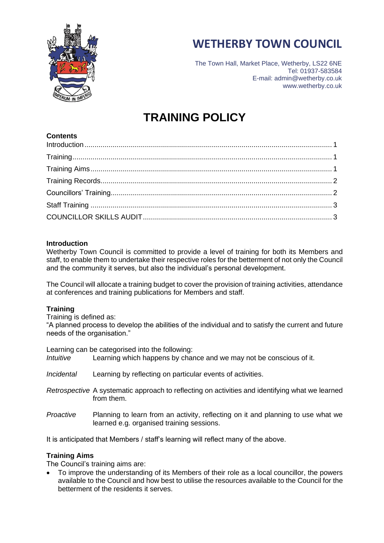



The Town Hall, Market Place, Wetherby, LS22 6NE Tel: 01937-583584 E-mail: admin@wetherby.co.uk www.wetherby.co.uk

# **TRAINING POLICY**

# **Contents**

## <span id="page-0-0"></span>**Introduction**

Wetherby Town Council is committed to provide a level of training for both its Members and staff, to enable them to undertake their respective roles for the betterment of not only the Council and the community it serves, but also the individual's personal development.

The Council will allocate a training budget to cover the provision of training activities, attendance at conferences and training publications for Members and staff.

#### <span id="page-0-1"></span>**Training**

Training is defined as:

"A planned process to develop the abilities of the individual and to satisfy the current and future needs of the organisation."

| Intuitive                | Learning can be categorised into the following:<br>Learning which happens by chance and we may not be conscious of it.        |
|--------------------------|-------------------------------------------------------------------------------------------------------------------------------|
| <i><b>Incidental</b></i> | Learning by reflecting on particular events of activities.                                                                    |
|                          | Retrospective A systematic approach to reflecting on activities and identifying what we learned<br>from them.                 |
| Proactive                | Planning to learn from an activity, reflecting on it and planning to use what we<br>learned e.g. organised training sessions. |

It is anticipated that Members / staff's learning will reflect many of the above.

#### <span id="page-0-2"></span>**Training Aims**

The Council's training aims are:

• To improve the understanding of its Members of their role as a local councillor, the powers available to the Council and how best to utilise the resources available to the Council for the betterment of the residents it serves.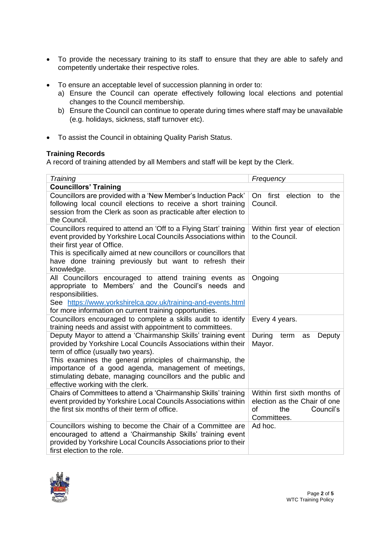- To provide the necessary training to its staff to ensure that they are able to safely and competently undertake their respective roles.
- To ensure an acceptable level of succession planning in order to:
	- a) Ensure the Council can operate effectively following local elections and potential changes to the Council membership.
	- b) Ensure the Council can continue to operate during times where staff may be unavailable (e.g. holidays, sickness, staff turnover etc).
- To assist the Council in obtaining Quality Parish Status.

## <span id="page-1-0"></span>**Training Records**

A record of training attended by all Members and staff will be kept by the Clerk.

<span id="page-1-1"></span>

| Training                                                                                        | Frequency                             |  |  |
|-------------------------------------------------------------------------------------------------|---------------------------------------|--|--|
| <b>Councillors' Training</b>                                                                    |                                       |  |  |
| Councillors are provided with a 'New Member's Induction Pack'                                   | On first<br>election<br>the<br>to     |  |  |
| following local council elections to receive a short training                                   | Council.                              |  |  |
| session from the Clerk as soon as practicable after election to                                 |                                       |  |  |
| the Council.                                                                                    |                                       |  |  |
| Councillors required to attend an 'Off to a Flying Start' training                              | Within first year of election         |  |  |
| event provided by Yorkshire Local Councils Associations within                                  | to the Council.                       |  |  |
| their first year of Office.                                                                     |                                       |  |  |
| This is specifically aimed at new councillors or councillors that                               |                                       |  |  |
| have done training previously but want to refresh their                                         |                                       |  |  |
| knowledge.                                                                                      |                                       |  |  |
| All Councillors encouraged to attend training events as                                         | Ongoing                               |  |  |
| appropriate to Members' and the Council's needs and                                             |                                       |  |  |
| responsibilities.                                                                               |                                       |  |  |
| See https://www.yorkshirelca.gov.uk/training-and-events.html                                    |                                       |  |  |
| for more information on current training opportunities.                                         |                                       |  |  |
| Councillors encouraged to complete a skills audit to identify                                   | Every 4 years.                        |  |  |
| training needs and assist with appointment to committees.                                       |                                       |  |  |
| Deputy Mayor to attend a 'Chairmanship Skills' training event                                   | During<br>term<br>Deputy<br>as        |  |  |
| provided by Yorkshire Local Councils Associations within their                                  | Mayor.                                |  |  |
| term of office (usually two years).                                                             |                                       |  |  |
| This examines the general principles of chairmanship, the                                       |                                       |  |  |
| importance of a good agenda, management of meetings,                                            |                                       |  |  |
| stimulating debate, managing councillors and the public and                                     |                                       |  |  |
| effective working with the clerk.                                                               |                                       |  |  |
| Chairs of Committees to attend a 'Chairmanship Skills' training                                 | Within first sixth months of          |  |  |
| event provided by Yorkshire Local Councils Associations within                                  | election as the Chair of one          |  |  |
| the first six months of their term of office.                                                   | of<br>the<br>Council's<br>Committees. |  |  |
|                                                                                                 |                                       |  |  |
| Councillors wishing to become the Chair of a Committee are                                      | Ad hoc.                               |  |  |
| encouraged to attend a 'Chairmanship Skills' training event                                     |                                       |  |  |
| provided by Yorkshire Local Councils Associations prior to their<br>first election to the role. |                                       |  |  |
|                                                                                                 |                                       |  |  |

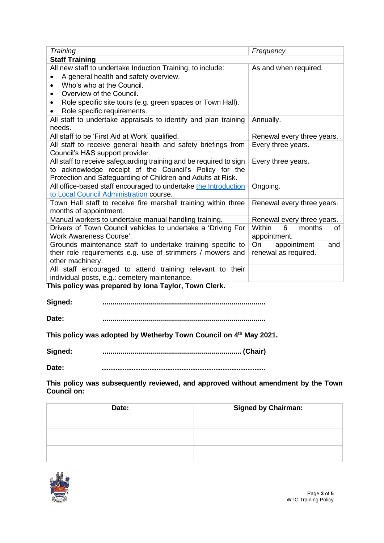<span id="page-2-0"></span>

| Training                                                                                                                                                         | Frequency                   |  |  |  |  |
|------------------------------------------------------------------------------------------------------------------------------------------------------------------|-----------------------------|--|--|--|--|
| <b>Staff Training</b>                                                                                                                                            |                             |  |  |  |  |
| All new staff to undertake Induction Training, to include:                                                                                                       | As and when required.       |  |  |  |  |
| A general health and safety overview.                                                                                                                            |                             |  |  |  |  |
| Who's who at the Council.                                                                                                                                        |                             |  |  |  |  |
| Overview of the Council.                                                                                                                                         |                             |  |  |  |  |
| Role specific site tours (e.g. green spaces or Town Hall).                                                                                                       |                             |  |  |  |  |
| Role specific requirements.                                                                                                                                      |                             |  |  |  |  |
| All staff to undertake appraisals to identify and plan training                                                                                                  | Annually.                   |  |  |  |  |
| needs.                                                                                                                                                           |                             |  |  |  |  |
| All staff to be 'First Aid at Work' qualified.                                                                                                                   | Renewal every three years.  |  |  |  |  |
| All staff to receive general health and safety briefings from                                                                                                    | Every three years.          |  |  |  |  |
| Council's H&S support provider.                                                                                                                                  |                             |  |  |  |  |
| All staff to receive safeguarding training and be required to sign                                                                                               | Every three years.          |  |  |  |  |
| to acknowledge receipt of the Council's Policy for the                                                                                                           |                             |  |  |  |  |
| Protection and Safeguarding of Children and Adults at Risk.                                                                                                      |                             |  |  |  |  |
| All office-based staff encouraged to undertake the Introduction                                                                                                  | Ongoing.                    |  |  |  |  |
| to Local Council Administration course.                                                                                                                          |                             |  |  |  |  |
| Town Hall staff to receive fire marshall training within three                                                                                                   | Renewal every three years.  |  |  |  |  |
| months of appointment.                                                                                                                                           |                             |  |  |  |  |
| Manual workers to undertake manual handling training.                                                                                                            | Renewal every three years.  |  |  |  |  |
| Drivers of Town Council vehicles to undertake a 'Driving For                                                                                                     | Within<br>months<br>6<br>0f |  |  |  |  |
| <b>Work Awareness Course'.</b>                                                                                                                                   | appointment.                |  |  |  |  |
| Grounds maintenance staff to undertake training specific to                                                                                                      | appointment<br>On<br>and    |  |  |  |  |
| their role requirements e.g. use of strimmers / mowers and                                                                                                       | renewal as required.        |  |  |  |  |
| other machinery.                                                                                                                                                 |                             |  |  |  |  |
| All staff encouraged to attend training relevant to their                                                                                                        |                             |  |  |  |  |
| individual posts, e.g.: cemetery maintenance.<br>the contract of the contract of the contract of the contract of the contract of the contract of the contract of |                             |  |  |  |  |

<span id="page-2-1"></span>**This policy was prepared by Iona Taylor, Town Clerk.** 

**Signed: .................................................................................**

**Date: .................................................................................**

**This policy was adopted by Wetherby Town Council on 4th May 2021.** 

**Signed: ..................................................................... (Chair)**

**Date: ............................................................................................**

**This policy was subsequently reviewed, and approved without amendment by the Town Council on:** 

| Date: | <b>Signed by Chairman:</b> |
|-------|----------------------------|
|       |                            |
|       |                            |
|       |                            |
|       |                            |
|       |                            |
|       |                            |

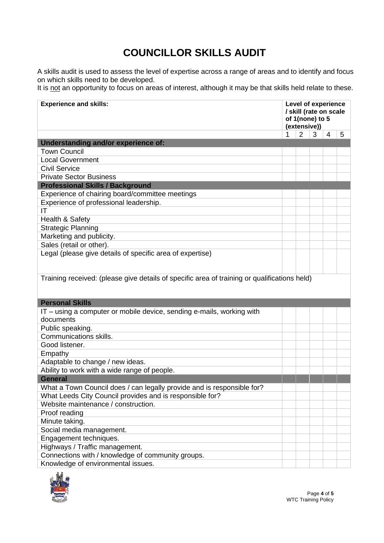# **COUNCILLOR SKILLS AUDIT**

A skills audit is used to assess the level of expertise across a range of areas and to identify and focus on which skills need to be developed.

It is not an opportunity to focus on areas of interest, although it may be that skills held relate to these.

| Understanding and/or experience of:<br><b>Town Council</b><br><b>Local Government</b><br><b>Civil Service</b><br><b>Private Sector Business</b><br><b>Professional Skills / Background</b><br>Experience of chairing board/committee meetings<br>Experience of professional leadership.<br>ΙT<br>Health & Safety<br><b>Strategic Planning</b><br>Marketing and publicity.<br>Sales (retail or other).<br>Legal (please give details of specific area of expertise)<br>Training received: (please give details of specific area of training or qualifications held)<br><b>Personal Skills</b><br>IT – using a computer or mobile device, sending e-mails, working with<br>documents<br>Public speaking.<br><b>Communications skills.</b><br>Good listener.<br>Empathy<br>Adaptable to change / new ideas.<br>Ability to work with a wide range of people.<br><b>General</b><br>What a Town Council does / can legally provide and is responsible for?<br>What Leeds City Council provides and is responsible for?<br>Website maintenance / construction.<br>Proof reading | <b>Experience and skills:</b>                     | Level of experience<br>/ skill (rate on scale<br>of 1(none) to 5<br>(extensive)) |                |   |   |   |
|--------------------------------------------------------------------------------------------------------------------------------------------------------------------------------------------------------------------------------------------------------------------------------------------------------------------------------------------------------------------------------------------------------------------------------------------------------------------------------------------------------------------------------------------------------------------------------------------------------------------------------------------------------------------------------------------------------------------------------------------------------------------------------------------------------------------------------------------------------------------------------------------------------------------------------------------------------------------------------------------------------------------------------------------------------------------------|---------------------------------------------------|----------------------------------------------------------------------------------|----------------|---|---|---|
|                                                                                                                                                                                                                                                                                                                                                                                                                                                                                                                                                                                                                                                                                                                                                                                                                                                                                                                                                                                                                                                                          |                                                   | 1                                                                                | $\overline{2}$ | 3 | 4 | 5 |
|                                                                                                                                                                                                                                                                                                                                                                                                                                                                                                                                                                                                                                                                                                                                                                                                                                                                                                                                                                                                                                                                          |                                                   |                                                                                  |                |   |   |   |
|                                                                                                                                                                                                                                                                                                                                                                                                                                                                                                                                                                                                                                                                                                                                                                                                                                                                                                                                                                                                                                                                          |                                                   |                                                                                  |                |   |   |   |
|                                                                                                                                                                                                                                                                                                                                                                                                                                                                                                                                                                                                                                                                                                                                                                                                                                                                                                                                                                                                                                                                          |                                                   |                                                                                  |                |   |   |   |
|                                                                                                                                                                                                                                                                                                                                                                                                                                                                                                                                                                                                                                                                                                                                                                                                                                                                                                                                                                                                                                                                          |                                                   |                                                                                  |                |   |   |   |
|                                                                                                                                                                                                                                                                                                                                                                                                                                                                                                                                                                                                                                                                                                                                                                                                                                                                                                                                                                                                                                                                          |                                                   |                                                                                  |                |   |   |   |
|                                                                                                                                                                                                                                                                                                                                                                                                                                                                                                                                                                                                                                                                                                                                                                                                                                                                                                                                                                                                                                                                          |                                                   |                                                                                  |                |   |   |   |
|                                                                                                                                                                                                                                                                                                                                                                                                                                                                                                                                                                                                                                                                                                                                                                                                                                                                                                                                                                                                                                                                          |                                                   |                                                                                  |                |   |   |   |
|                                                                                                                                                                                                                                                                                                                                                                                                                                                                                                                                                                                                                                                                                                                                                                                                                                                                                                                                                                                                                                                                          |                                                   |                                                                                  |                |   |   |   |
|                                                                                                                                                                                                                                                                                                                                                                                                                                                                                                                                                                                                                                                                                                                                                                                                                                                                                                                                                                                                                                                                          |                                                   |                                                                                  |                |   |   |   |
|                                                                                                                                                                                                                                                                                                                                                                                                                                                                                                                                                                                                                                                                                                                                                                                                                                                                                                                                                                                                                                                                          |                                                   |                                                                                  |                |   |   |   |
|                                                                                                                                                                                                                                                                                                                                                                                                                                                                                                                                                                                                                                                                                                                                                                                                                                                                                                                                                                                                                                                                          |                                                   |                                                                                  |                |   |   |   |
|                                                                                                                                                                                                                                                                                                                                                                                                                                                                                                                                                                                                                                                                                                                                                                                                                                                                                                                                                                                                                                                                          |                                                   |                                                                                  |                |   |   |   |
|                                                                                                                                                                                                                                                                                                                                                                                                                                                                                                                                                                                                                                                                                                                                                                                                                                                                                                                                                                                                                                                                          |                                                   |                                                                                  |                |   |   |   |
|                                                                                                                                                                                                                                                                                                                                                                                                                                                                                                                                                                                                                                                                                                                                                                                                                                                                                                                                                                                                                                                                          |                                                   |                                                                                  |                |   |   |   |
|                                                                                                                                                                                                                                                                                                                                                                                                                                                                                                                                                                                                                                                                                                                                                                                                                                                                                                                                                                                                                                                                          |                                                   |                                                                                  |                |   |   |   |
|                                                                                                                                                                                                                                                                                                                                                                                                                                                                                                                                                                                                                                                                                                                                                                                                                                                                                                                                                                                                                                                                          |                                                   |                                                                                  |                |   |   |   |
|                                                                                                                                                                                                                                                                                                                                                                                                                                                                                                                                                                                                                                                                                                                                                                                                                                                                                                                                                                                                                                                                          |                                                   |                                                                                  |                |   |   |   |
|                                                                                                                                                                                                                                                                                                                                                                                                                                                                                                                                                                                                                                                                                                                                                                                                                                                                                                                                                                                                                                                                          |                                                   |                                                                                  |                |   |   |   |
|                                                                                                                                                                                                                                                                                                                                                                                                                                                                                                                                                                                                                                                                                                                                                                                                                                                                                                                                                                                                                                                                          |                                                   |                                                                                  |                |   |   |   |
|                                                                                                                                                                                                                                                                                                                                                                                                                                                                                                                                                                                                                                                                                                                                                                                                                                                                                                                                                                                                                                                                          |                                                   |                                                                                  |                |   |   |   |
|                                                                                                                                                                                                                                                                                                                                                                                                                                                                                                                                                                                                                                                                                                                                                                                                                                                                                                                                                                                                                                                                          |                                                   |                                                                                  |                |   |   |   |
|                                                                                                                                                                                                                                                                                                                                                                                                                                                                                                                                                                                                                                                                                                                                                                                                                                                                                                                                                                                                                                                                          |                                                   |                                                                                  |                |   |   |   |
|                                                                                                                                                                                                                                                                                                                                                                                                                                                                                                                                                                                                                                                                                                                                                                                                                                                                                                                                                                                                                                                                          |                                                   |                                                                                  |                |   |   |   |
|                                                                                                                                                                                                                                                                                                                                                                                                                                                                                                                                                                                                                                                                                                                                                                                                                                                                                                                                                                                                                                                                          |                                                   |                                                                                  |                |   |   |   |
|                                                                                                                                                                                                                                                                                                                                                                                                                                                                                                                                                                                                                                                                                                                                                                                                                                                                                                                                                                                                                                                                          |                                                   |                                                                                  |                |   |   |   |
|                                                                                                                                                                                                                                                                                                                                                                                                                                                                                                                                                                                                                                                                                                                                                                                                                                                                                                                                                                                                                                                                          |                                                   |                                                                                  |                |   |   |   |
|                                                                                                                                                                                                                                                                                                                                                                                                                                                                                                                                                                                                                                                                                                                                                                                                                                                                                                                                                                                                                                                                          |                                                   |                                                                                  |                |   |   |   |
|                                                                                                                                                                                                                                                                                                                                                                                                                                                                                                                                                                                                                                                                                                                                                                                                                                                                                                                                                                                                                                                                          |                                                   |                                                                                  |                |   |   |   |
|                                                                                                                                                                                                                                                                                                                                                                                                                                                                                                                                                                                                                                                                                                                                                                                                                                                                                                                                                                                                                                                                          |                                                   |                                                                                  |                |   |   |   |
|                                                                                                                                                                                                                                                                                                                                                                                                                                                                                                                                                                                                                                                                                                                                                                                                                                                                                                                                                                                                                                                                          | Minute taking.                                    |                                                                                  |                |   |   |   |
| Social media management.                                                                                                                                                                                                                                                                                                                                                                                                                                                                                                                                                                                                                                                                                                                                                                                                                                                                                                                                                                                                                                                 |                                                   |                                                                                  |                |   |   |   |
| Engagement techniques.                                                                                                                                                                                                                                                                                                                                                                                                                                                                                                                                                                                                                                                                                                                                                                                                                                                                                                                                                                                                                                                   |                                                   |                                                                                  |                |   |   |   |
| Highways / Traffic management.                                                                                                                                                                                                                                                                                                                                                                                                                                                                                                                                                                                                                                                                                                                                                                                                                                                                                                                                                                                                                                           |                                                   |                                                                                  |                |   |   |   |
|                                                                                                                                                                                                                                                                                                                                                                                                                                                                                                                                                                                                                                                                                                                                                                                                                                                                                                                                                                                                                                                                          |                                                   |                                                                                  |                |   |   |   |
| Knowledge of environmental issues.                                                                                                                                                                                                                                                                                                                                                                                                                                                                                                                                                                                                                                                                                                                                                                                                                                                                                                                                                                                                                                       | Connections with / knowledge of community groups. |                                                                                  |                |   |   |   |